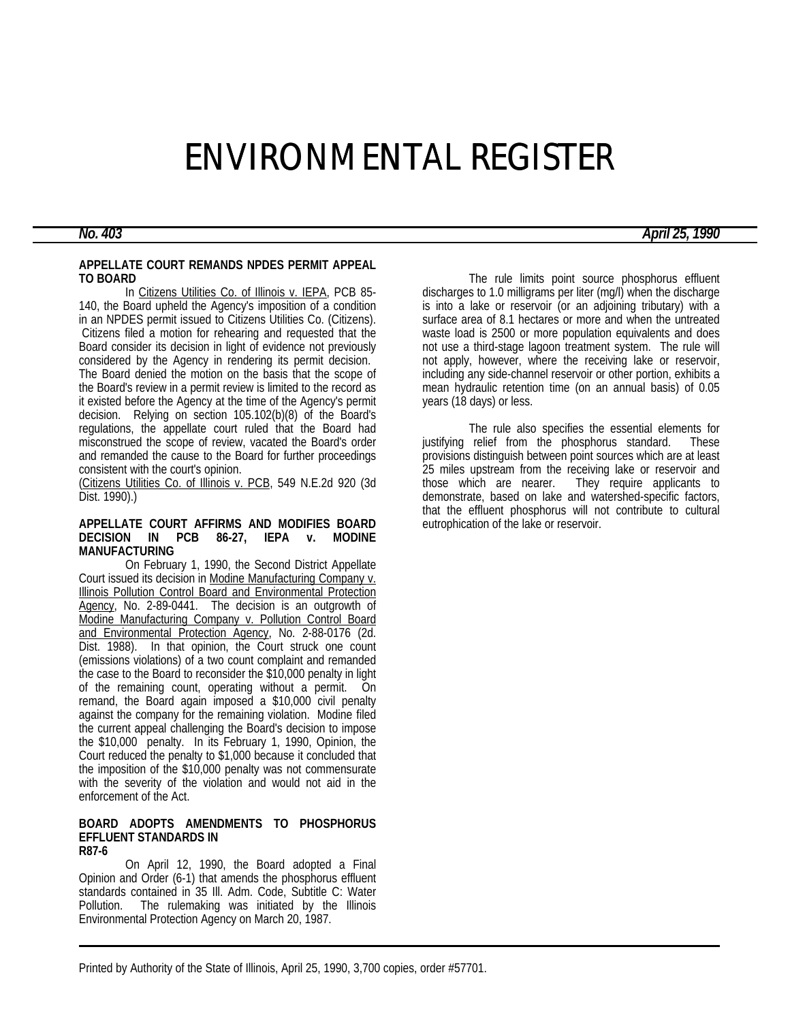# ENVIRONMENTAL REGISTER

#### **APPELLATE COURT REMANDS NPDES PERMIT APPEAL TO BOARD**

In Citizens Utilities Co. of Illinois v. IEPA, PCB 85-140, the Board upheld the Agency's imposition of a condition in an NPDES permit issued to Citizens Utilities Co. (Citizens). Citizens filed a motion for rehearing and requested that the Board consider its decision in light of evidence not previously considered by the Agency in rendering its permit decision. The Board denied the motion on the basis that the scope of the Board's review in a permit review is limited to the record as it existed before the Agency at the time of the Agency's permit decision. Relying on section 105.102(b)(8) of the Board's regulations, the appellate court ruled that the Board had misconstrued the scope of review, vacated the Board's order and remanded the cause to the Board for further proceedings consistent with the court's opinion.

(Citizens Utilities Co. of Illinois v. PCB, 549 N.E.2d 920 (3d Dist. 1990).)

#### **APPELLATE COURT AFFIRMS AND MODIFIES BOARD DECISION IN PCB 86-27, IEPA v. MODINE MANUFACTURING**

On February 1, 1990, the Second District Appellate Court issued its decision in Modine Manufacturing Company v. Illinois Pollution Control Board and Environmental Protection Agency, No. 2-89-0441. The decision is an outgrowth of Modine Manufacturing Company v. Pollution Control Board and Environmental Protection Agency, No. 2-88-0176 (2d. Dist. 1988). In that opinion, the Court struck one count (emissions violations) of a two count complaint and remanded the case to the Board to reconsider the \$10,000 penalty in light of the remaining count, operating without a permit. On remand, the Board again imposed a \$10,000 civil penalty against the company for the remaining violation. Modine filed the current appeal challenging the Board's decision to impose the \$10,000 penalty. In its February 1, 1990, Opinion, the Court reduced the penalty to \$1,000 because it concluded that the imposition of the \$10,000 penalty was not commensurate with the severity of the violation and would not aid in the enforcement of the Act.

#### **BOARD ADOPTS AMENDMENTS TO PHOSPHORUS EFFLUENT STANDARDS IN R87-6**

On April 12, 1990, the Board adopted a Final Opinion and Order (6-1) that amends the phosphorus effluent standards contained in 35 III. Adm. Code, Subtitle C: Water Pollution. The rulemaking was initiated by the Illinois Environmental Protection Agency on March 20, 1987.

The rule limits point source phosphorus effluent discharges to 1.0 milligrams per liter (mg/l) when the discharge is into a lake or reservoir (or an adjoining tributary) with a surface area of 8.1 hectares or more and when the untreated waste load is 2500 or more population equivalents and does not use a third-stage lagoon treatment system. The rule will not apply, however, where the receiving lake or reservoir, including any side-channel reservoir or other portion, exhibits a mean hydraulic retention time (on an annual basis) of 0.05 years (18 days) or less.

The rule also specifies the essential elements for justifying relief from the phosphorus standard. These provisions distinguish between point sources which are at least 25 miles upstream from the receiving lake or reservoir and those which are nearer. They require applicants to They require applicants to demonstrate, based on lake and watershed-specific factors, that the effluent phosphorus will not contribute to cultural eutrophication of the lake or reservoir.

*No. 403 April 25, 1990*

Printed by Authority of the State of Illinois, April 25, 1990, 3,700 copies, order #57701.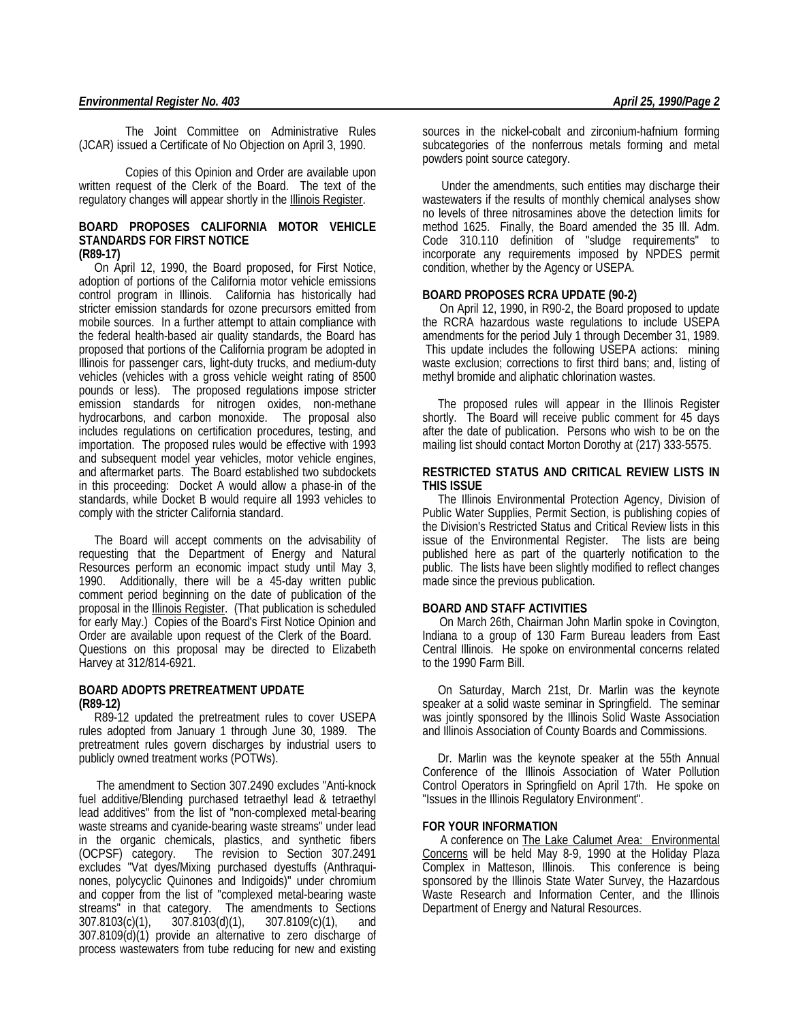The Joint Committee on Administrative Rules (JCAR) issued a Certificate of No Objection on April 3, 1990.

Copies of this Opinion and Order are available upon written request of the Clerk of the Board. The text of the regulatory changes will appear shortly in the **Illinois Register**.

#### **BOARD PROPOSES CALIFORNIA MOTOR VEHICLE STANDARDS FOR FIRST NOTICE (R89-17)**

 On April 12, 1990, the Board proposed, for First Notice, adoption of portions of the California motor vehicle emissions control program in Illinois. California has historically had stricter emission standards for ozone precursors emitted from mobile sources. In a further attempt to attain compliance with the federal health-based air quality standards, the Board has proposed that portions of the California program be adopted in Illinois for passenger cars, light-duty trucks, and medium-duty vehicles (vehicles with a gross vehicle weight rating of 8500 pounds or less). The proposed regulations impose stricter emission standards for nitrogen oxides, non-methane hydrocarbons, and carbon monoxide. The proposal also includes regulations on certification procedures, testing, and importation. The proposed rules would be effective with 1993 and subsequent model year vehicles, motor vehicle engines, and aftermarket parts. The Board established two subdockets in this proceeding: Docket A would allow a phase-in of the standards, while Docket B would require all 1993 vehicles to comply with the stricter California standard.

 The Board will accept comments on the advisability of requesting that the Department of Energy and Natural Resources perform an economic impact study until May 3, 1990. Additionally, there will be a 45-day written public comment period beginning on the date of publication of the proposal in the Illinois Register. (That publication is scheduled for early May.) Copies of the Board's First Notice Opinion and Order are available upon request of the Clerk of the Board. Questions on this proposal may be directed to Elizabeth Harvey at 312/814-6921.

### **BOARD ADOPTS PRETREATMENT UPDATE (R89-12)**

 R89-12 updated the pretreatment rules to cover USEPA rules adopted from January 1 through June 30, 1989. The pretreatment rules govern discharges by industrial users to publicly owned treatment works (POTWs).

 The amendment to Section 307.2490 excludes "Anti-knock fuel additive/Blending purchased tetraethyl lead & tetraethyl lead additives" from the list of "non-complexed metal-bearing waste streams and cyanide-bearing waste streams" under lead in the organic chemicals, plastics, and synthetic fibers (OCPSF) category. The revision to Section 307.2491 excludes "Vat dyes/Mixing purchased dyestuffs (Anthraquinones, polycyclic Quinones and Indigoids)" under chromium and copper from the list of "complexed metal-bearing waste streams" in that category. The amendments to Sections 307.8103(c)(1), 307.8103(d)(1), 307.8109(c)(1), and 307.8109(d)(1) provide an alternative to zero discharge of process wastewaters from tube reducing for new and existing sources in the nickel-cobalt and zirconium-hafnium forming subcategories of the nonferrous metals forming and metal powders point source category.

 Under the amendments, such entities may discharge their wastewaters if the results of monthly chemical analyses show no levels of three nitrosamines above the detection limits for method 1625. Finally, the Board amended the 35 Ill. Adm. Code 310.110 definition of "sludge requirements" to incorporate any requirements imposed by NPDES permit condition, whether by the Agency or USEPA.

### **BOARD PROPOSES RCRA UPDATE (90-2)**

 On April 12, 1990, in R90-2, the Board proposed to update the RCRA hazardous waste regulations to include USEPA amendments for the period July 1 through December 31, 1989. This update includes the following USEPA actions: mining waste exclusion; corrections to first third bans; and, listing of methyl bromide and aliphatic chlorination wastes.

 The proposed rules will appear in the Illinois Register shortly. The Board will receive public comment for 45 days after the date of publication. Persons who wish to be on the mailing list should contact Morton Dorothy at (217) 333-5575.

#### **RESTRICTED STATUS AND CRITICAL REVIEW LISTS IN THIS ISSUE**

 The Illinois Environmental Protection Agency, Division of Public Water Supplies, Permit Section, is publishing copies of the Division's Restricted Status and Critical Review lists in this issue of the Environmental Register. The lists are being published here as part of the quarterly notification to the public. The lists have been slightly modified to reflect changes made since the previous publication.

#### **BOARD AND STAFF ACTIVITIES**

 On March 26th, Chairman John Marlin spoke in Covington, Indiana to a group of 130 Farm Bureau leaders from East Central Illinois. He spoke on environmental concerns related to the 1990 Farm Bill.

 On Saturday, March 21st, Dr. Marlin was the keynote speaker at a solid waste seminar in Springfield. The seminar was jointly sponsored by the Illinois Solid Waste Association and Illinois Association of County Boards and Commissions.

 Dr. Marlin was the keynote speaker at the 55th Annual Conference of the Illinois Association of Water Pollution Control Operators in Springfield on April 17th. He spoke on "Issues in the Illinois Regulatory Environment".

#### **FOR YOUR INFORMATION**

 A conference on The Lake Calumet Area: Environmental Concerns will be held May 8-9, 1990 at the Holiday Plaza Complex in Matteson, Illinois. This conference is being sponsored by the Illinois State Water Survey, the Hazardous Waste Research and Information Center, and the Illinois Department of Energy and Natural Resources.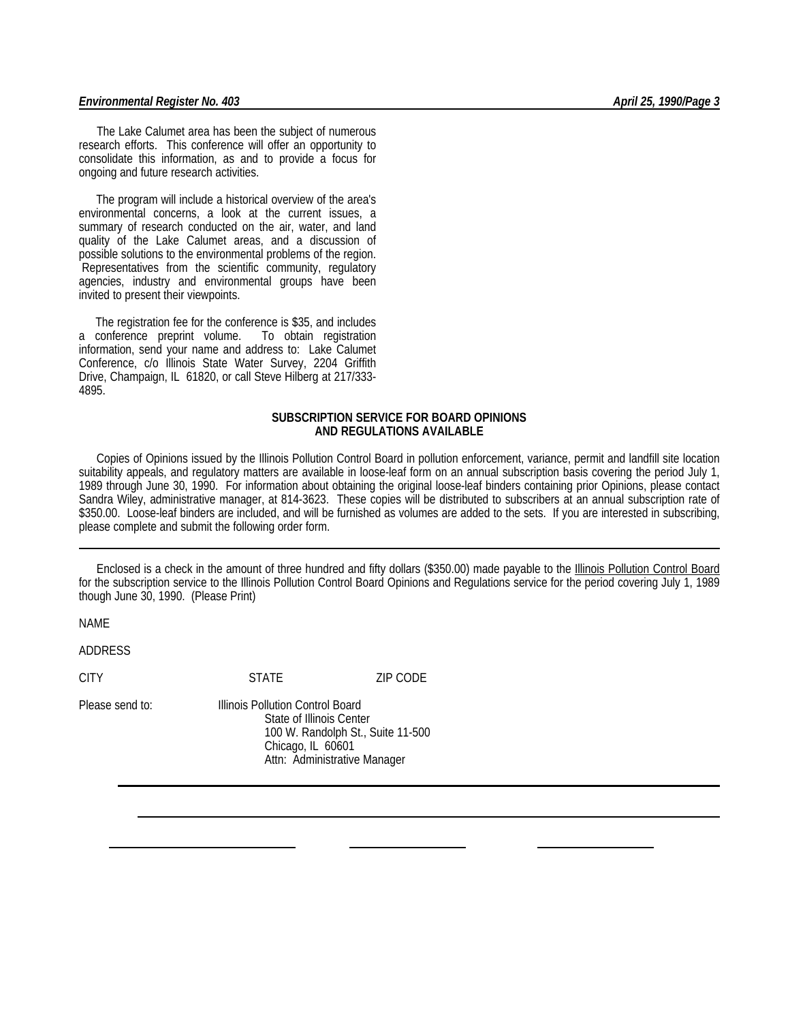#### *Environmental Register No. 403 April 25, 1990/Page 3*

 The Lake Calumet area has been the subject of numerous research efforts. This conference will offer an opportunity to consolidate this information, as and to provide a focus for ongoing and future research activities.

 The program will include a historical overview of the area's environmental concerns, a look at the current issues, a summary of research conducted on the air, water, and land quality of the Lake Calumet areas, and a discussion of possible solutions to the environmental problems of the region. Representatives from the scientific community, regulatory agencies, industry and environmental groups have been invited to present their viewpoints.

 The registration fee for the conference is \$35, and includes a conference preprint volume. To obtain registration information, send your name and address to: Lake Calumet Conference, c/o Illinois State Water Survey, 2204 Griffith Drive, Champaign, IL 61820, or call Steve Hilberg at 217/333- 4895.

### **SUBSCRIPTION SERVICE FOR BOARD OPINIONS AND REGULATIONS AVAILABLE**

 Copies of Opinions issued by the Illinois Pollution Control Board in pollution enforcement, variance, permit and landfill site location suitability appeals, and regulatory matters are available in loose-leaf form on an annual subscription basis covering the period July 1, 1989 through June 30, 1990. For information about obtaining the original loose-leaf binders containing prior Opinions, please contact Sandra Wiley, administrative manager, at 814-3623. These copies will be distributed to subscribers at an annual subscription rate of \$350.00. Loose-leaf binders are included, and will be furnished as volumes are added to the sets. If you are interested in subscribing, please complete and submit the following order form.

 Enclosed is a check in the amount of three hundred and fifty dollars (\$350.00) made payable to the Illinois Pollution Control Board for the subscription service to the Illinois Pollution Control Board Opinions and Regulations service for the period covering July 1, 1989 though June 30, 1990. (Please Print)

NAME

ADDRESS

CITY STATE ZIP CODE

Please send to: Illinois Pollution Control Board State of Illinois Center 100 W. Randolph St., Suite 11-500 Chicago, IL 60601 Attn: Administrative Manager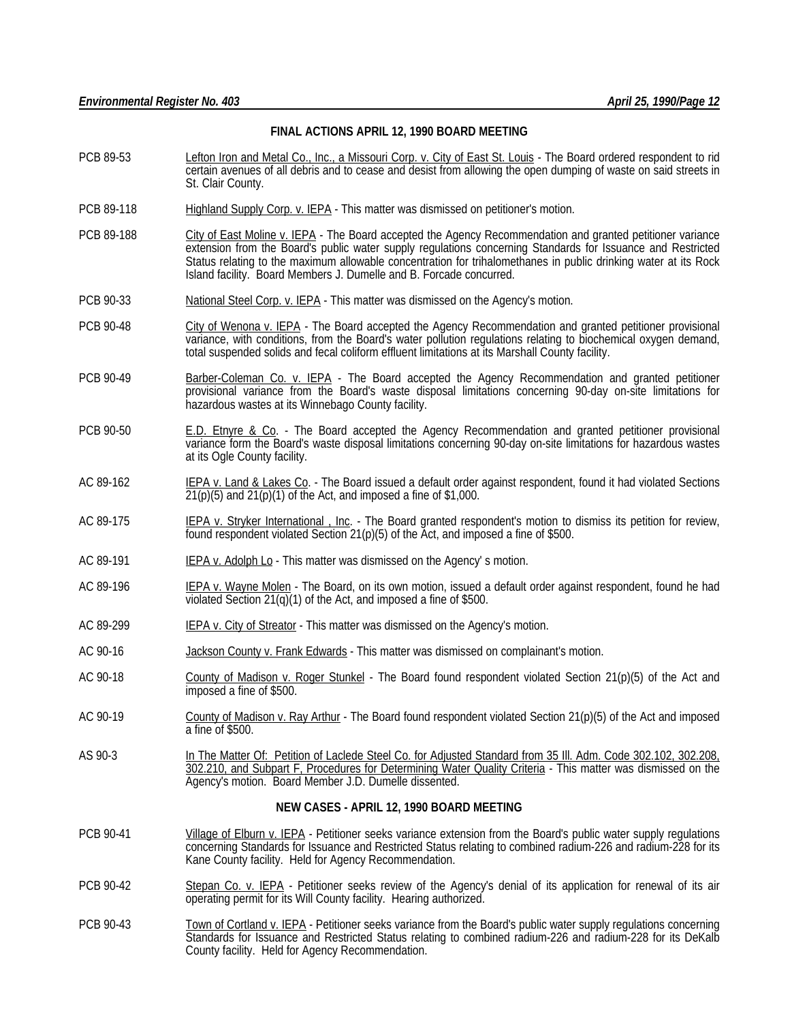#### **FINAL ACTIONS APRIL 12, 1990 BOARD MEETING**

- PCB 89-53 Lefton Iron and Metal Co., Inc., a Missouri Corp. v. City of East St. Louis The Board ordered respondent to rid certain avenues of all debris and to cease and desist from allowing the open dumping of waste on said streets in St. Clair County.
- PCB 89-118 Highland Supply Corp. v. IEPA This matter was dismissed on petitioner's motion.
- PCB 89-188 City of East Moline v. IEPA The Board accepted the Agency Recommendation and granted petitioner variance extension from the Board's public water supply regulations concerning Standards for Issuance and Restricted Status relating to the maximum allowable concentration for trihalomethanes in public drinking water at its Rock Island facility. Board Members J. Dumelle and B. Forcade concurred.
- PCB 90-33 National Steel Corp. v. IEPA This matter was dismissed on the Agency's motion.
- PCB 90-48 City of Wenona v. IEPA The Board accepted the Agency Recommendation and granted petitioner provisional variance, with conditions, from the Board's water pollution regulations relating to biochemical oxygen demand, total suspended solids and fecal coliform effluent limitations at its Marshall County facility.
- PCB 90-49 Barber-Coleman Co. v. IEPA The Board accepted the Agency Recommendation and granted petitioner provisional variance from the Board's waste disposal limitations concerning 90-day on-site limitations for hazardous wastes at its Winnebago County facility.
- PCB 90-50 **E.D. Etnyre & Co.** The Board accepted the Agency Recommendation and granted petitioner provisional variance form the Board's waste disposal limitations concerning 90-day on-site limitations for hazardous wastes at its Ogle County facility.
- AC 89-162 IEPA v. Land & Lakes Co. The Board issued a default order against respondent, found it had violated Sections  $21(p)(5)$  and  $21(p)(1)$  of the Act, and imposed a fine of \$1,000.
- AC 89-175 **IEPA v. Stryker International**, Inc. The Board granted respondent's motion to dismiss its petition for review, found respondent violated Section 21(p)(5) of the Act, and imposed a fine of \$500.
- AC 89-191 **IEPA v. Adolph Lo** This matter was dismissed on the Agency's motion.
- AC 89-196 IEPA v. Wayne Molen The Board, on its own motion, issued a default order against respondent, found he had violated Section 21(q)(1) of the Act, and imposed a fine of \$500.
- AC 89-299 IEPA v. City of Streator This matter was dismissed on the Agency's motion.
- AC 90-16 **Jackson County v. Frank Edwards** This matter was dismissed on complainant's motion.
- AC 90-18 County of Madison v. Roger Stunkel The Board found respondent violated Section 21(p)(5) of the Act and imposed a fine of \$500.
- AC 90-19 County of Madison v. Ray Arthur The Board found respondent violated Section 21(p)(5) of the Act and imposed a fine of \$500.
- AS 90-3 In The Matter Of: Petition of Laclede Steel Co. for Adjusted Standard from 35 Ill. Adm. Code 302.102, 302.208, 302.210, and Subpart F, Procedures for Determining Water Quality Criteria - This matter was dismissed on the Agency's motion. Board Member J.D. Dumelle dissented.

#### **NEW CASES - APRIL 12, 1990 BOARD MEETING**

- PCB 90-41 Village of Elburn v. IEPA Petitioner seeks variance extension from the Board's public water supply regulations concerning Standards for Issuance and Restricted Status relating to combined radium-226 and radium-228 for its Kane County facility. Held for Agency Recommendation.
- PCB 90-42 Stepan Co. v. IEPA Petitioner seeks review of the Agency's denial of its application for renewal of its air operating permit for its Will County facility. Hearing authorized.
- PCB 90-43 Town of Cortland v. IEPA Petitioner seeks variance from the Board's public water supply regulations concerning Standards for Issuance and Restricted Status relating to combined radium-226 and radium-228 for its DeKalb County facility. Held for Agency Recommendation.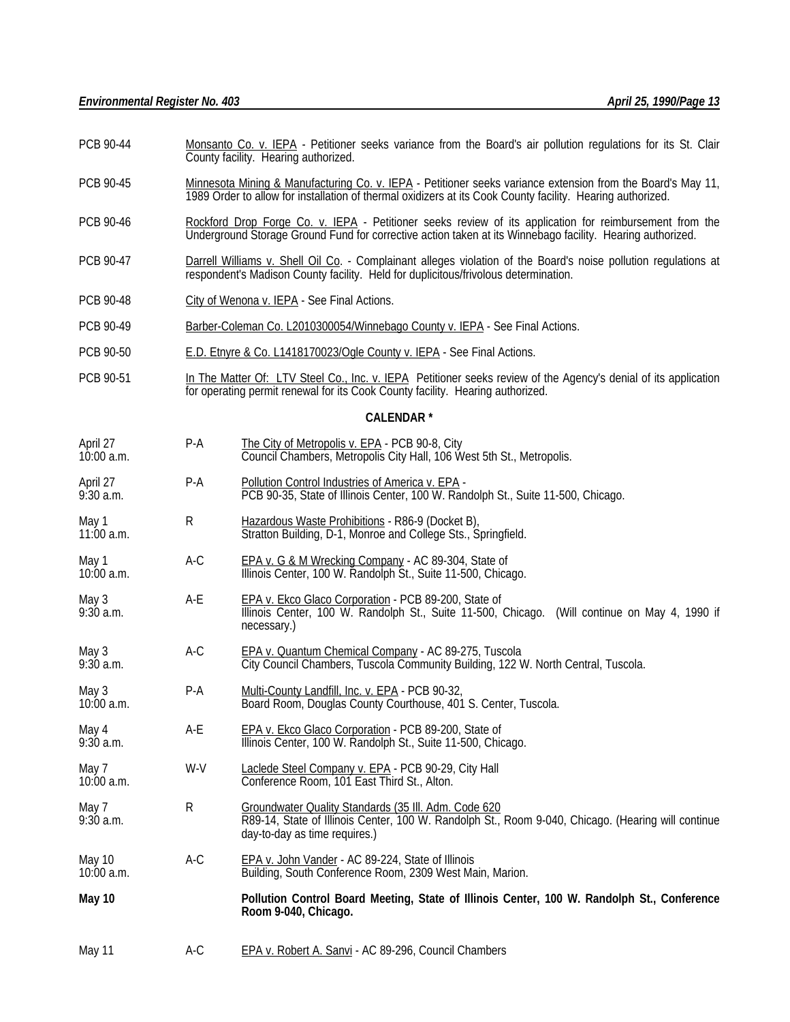- PCB 90-44 Monsanto Co. v. IEPA Petitioner seeks variance from the Board's air pollution regulations for its St. Clair County facility. Hearing authorized.
- PCB 90-45 Minnesota Mining & Manufacturing Co. v. IEPA Petitioner seeks variance extension from the Board's May 11, 1989 Order to allow for installation of thermal oxidizers at its Cook County facility. Hearing authorized.
- PCB 90-46 Rockford Drop Forge Co. v. IEPA Petitioner seeks review of its application for reimbursement from the Underground Storage Ground Fund for corrective action taken at its Winnebago facility. Hearing authorized.
- PCB 90-47 Darrell Williams v. Shell Oil Co. Complainant alleges violation of the Board's noise pollution regulations at respondent's Madison County facility. Held for duplicitous/frivolous determination.
- PCB 90-48 City of Wenona v. IEPA See Final Actions.
- PCB 90-49 Barber-Coleman Co. L2010300054/Winnebago County v. IEPA See Final Actions.
- PCB 90-50 E.D. Etnyre & Co. L1418170023/Ogle County v. IEPA See Final Actions.
- PCB 90-51 In The Matter Of: LTV Steel Co., Inc. v. IEPA Petitioner seeks review of the Agency's denial of its application for operating permit renewal for its Cook County facility. Hearing authorized.

#### **CALENDAR \***

- April 27 **P-A** The City of Metropolis v. EPA PCB 90-8, City<br>10:00 a.m. Council Chambers, Metropolis City Hall, 106 W Council Chambers, Metropolis City Hall, 106 West 5th St., Metropolis.
- April 27 **P-A** P-A Pollution Control Industries of America v. EPA -<br>9:30 a.m. **PCB 90-35, State of Illinois Center, 100 W. Rar** PCB 90-35, State of Illinois Center, 100 W. Randolph St., Suite 11-500, Chicago.
- May 1 **R** Hazardous Waste Prohibitions R86-9 (Docket B),<br>11:00 a.m. **R** Stratton Building. D-1. Monroe and College Sts., S Stratton Building, D-1, Monroe and College Sts., Springfield.
- May 1 **A-C** EPA v. G & M Wrecking Company AC 89-304, State of UI.<br>The external Center, 100 W. Randolph St., Suite 11-500, Chica Illinois Center, 100 W. Randolph St., Suite 11-500, Chicago.
- May 3 A-E <u>EPA v. Ekco Glaco Corporation</u> PCB 89-200, State of 9:30 a.m. Illinois Center, 100 W. Randolph St., Suite 11-500, Chicago. (Will continue on May 4, 1990 if necessary.)
- May 3 **A-C** EPA v. Quantum Chemical Company AC 89-275, Tuscola<br>2.30 a.m. City Council Chambers. Tuscola Community Building. 122 v City Council Chambers, Tuscola Community Building, 122 W. North Central, Tuscola.
- May 3 **P-A** Multi-County Landfill, Inc. v. EPA PCB 90-32,<br>10:00 a.m. **Board Room, Douglas County Courthouse**, 401 Board Room, Douglas County Courthouse, 401 S. Center, Tuscola.
- May 4 **A-E** EPA v. Ekco Glaco Corporation PCB 89-200, State of 9:30 a.m. Illinois Center, 100 W. Randolph St., Suite 11-500, Chicago.
- May 7 W-V Laclede Steel Company v. EPA PCB 90-29, City Hall<br>10:00 a.m. Conference Room, 101 East Third St., Alton. Conference Room, 101 East Third St., Alton.
- May 7 **R** Groundwater Quality Standards (35 III. Adm. Code 620<br>9:30 a.m. **RB9-14, State of Illinois Center. 100 W. Randolph St.** R89-14, State of Illinois Center, 100 W. Randolph St., Room 9-040, Chicago. (Hearing will continue day-to-day as time requires.)
- May 10 **A-C** EPA v. John Vander AC 89-224, State of Illinois<br>10:00 a.m. **Building, South Conference Room, 2309 West Ma** Building, South Conference Room, 2309 West Main, Marion.
- **May 10 Pollution Control Board Meeting, State of Illinois Center, 100 W. Randolph St., Conference Room 9-040, Chicago.**
- May 11 A-C EPA v. Robert A. Sanvi AC 89-296, Council Chambers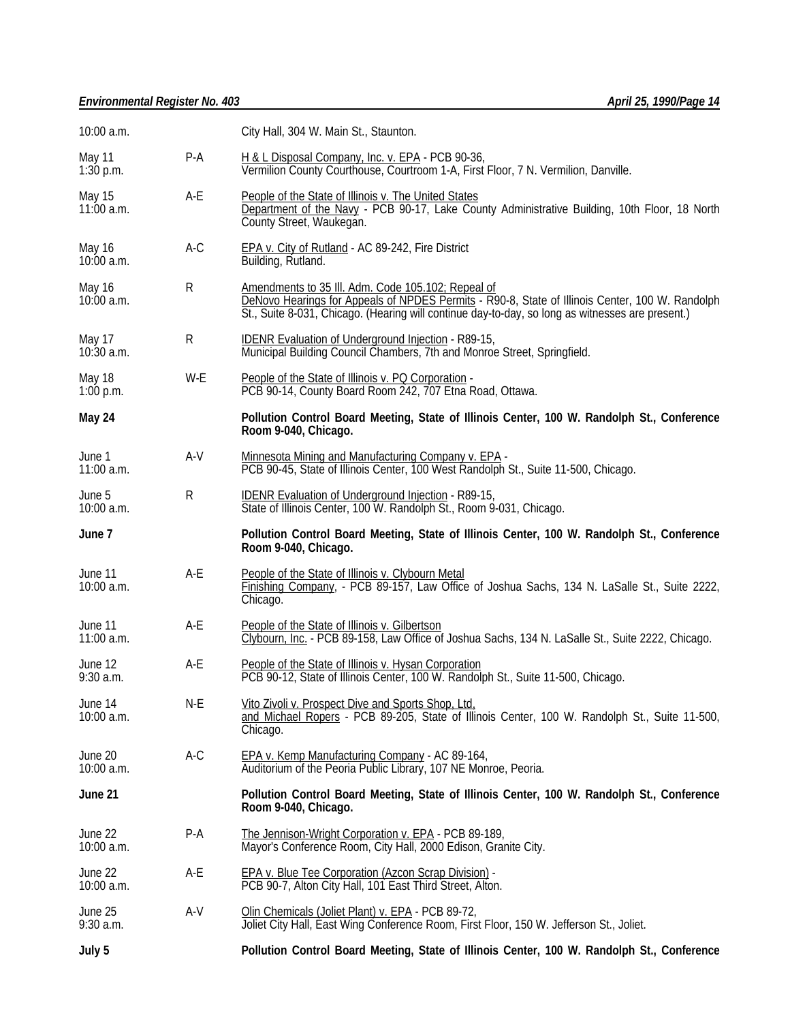## *Environmental Register No. 403 April 25, 1990/Page 14*

| 10:00 a.m.             |       | City Hall, 304 W. Main St., Staunton.                                                                                                                                                                                                                     |  |
|------------------------|-------|-----------------------------------------------------------------------------------------------------------------------------------------------------------------------------------------------------------------------------------------------------------|--|
| May 11<br>$1:30$ p.m.  | $P-A$ | H & L Disposal Company, Inc. v. EPA - PCB 90-36,<br>Vermilion County Courthouse, Courtroom 1-A, First Floor, 7 N. Vermilion, Danville.                                                                                                                    |  |
| May 15<br>$11:00$ a.m. | A-E   | People of the State of Illinois v. The United States<br>Department of the Navy - PCB 90-17, Lake County Administrative Building, 10th Floor, 18 North<br>County Street, Waukegan.                                                                         |  |
| May 16<br>$10:00$ a.m. | $A-C$ | EPA v. City of Rutland - AC 89-242, Fire District<br>Building, Rutland.                                                                                                                                                                                   |  |
| May 16<br>$10:00$ a.m. | R     | Amendments to 35 III. Adm. Code 105.102; Repeal of<br>DeNovo Hearings for Appeals of NPDES Permits - R90-8, State of Illinois Center, 100 W. Randolph<br>St., Suite 8-031, Chicago. (Hearing will continue day-to-day, so long as witnesses are present.) |  |
| May 17<br>$10:30$ a.m. | R     | <b>IDENR Evaluation of Underground Injection - R89-15,</b><br>Municipal Building Council Chambers, 7th and Monroe Street, Springfield.                                                                                                                    |  |
| May 18<br>1:00 p.m.    | W-E   | People of the State of Illinois v. PQ Corporation -<br>PCB 90-14, County Board Room 242, 707 Etna Road, Ottawa.                                                                                                                                           |  |
| May 24                 |       | Pollution Control Board Meeting, State of Illinois Center, 100 W. Randolph St., Conference<br>Room 9-040, Chicago.                                                                                                                                        |  |
| June 1<br>11:00 a.m.   | $A-V$ | Minnesota Mining and Manufacturing Company v. EPA -<br>PCB 90-45, State of Illinois Center, 100 West Randolph St., Suite 11-500, Chicago.                                                                                                                 |  |
| June 5<br>10:00 a.m.   | R     | <b>IDENR Evaluation of Underground Injection - R89-15,</b><br>State of Illinois Center, 100 W. Randolph St., Room 9-031, Chicago.                                                                                                                         |  |
| June 7                 |       | Pollution Control Board Meeting, State of Illinois Center, 100 W. Randolph St., Conference<br>Room 9-040, Chicago.                                                                                                                                        |  |
| June 11<br>10:00 a.m.  | $A-E$ | People of the State of Illinois v. Clybourn Metal<br>Finishing Company, - PCB 89-157, Law Office of Joshua Sachs, 134 N. LaSalle St., Suite 2222,<br>Chicago.                                                                                             |  |
| June 11<br>11:00 a.m.  | A-E   | People of the State of Illinois v. Gilbertson<br>Clybourn, Inc. - PCB 89-158, Law Office of Joshua Sachs, 134 N. LaSalle St., Suite 2222, Chicago.                                                                                                        |  |
| June 12<br>$9:30$ a.m. | A-E   | People of the State of Illinois v. Hysan Corporation<br>PCB 90-12, State of Illinois Center, 100 W. Randolph St., Suite 11-500, Chicago.                                                                                                                  |  |
| June 14<br>10:00 a.m.  | N-E   | Vito Zivoli v. Prospect Dive and Sports Shop, Ltd.<br>and Michael Ropers - PCB 89-205, State of Illinois Center, 100 W. Randolph St., Suite 11-500,<br>Chicago.                                                                                           |  |
| June 20<br>10:00 a.m.  | A-C   | EPA v. Kemp Manufacturing Company - AC 89-164,<br>Auditorium of the Peoria Public Library, 107 NE Monroe, Peoria.                                                                                                                                         |  |
| June 21                |       | Pollution Control Board Meeting, State of Illinois Center, 100 W. Randolph St., Conference<br>Room 9-040, Chicago.                                                                                                                                        |  |
| June 22<br>10:00 a.m.  | P-A   | The Jennison-Wright Corporation v. EPA - PCB 89-189,<br>Mayor's Conference Room, City Hall, 2000 Edison, Granite City.                                                                                                                                    |  |
| June 22<br>10:00 a.m.  | A-E   | EPA v. Blue Tee Corporation (Azcon Scrap Division) -<br>PCB 90-7, Alton City Hall, 101 East Third Street, Alton.                                                                                                                                          |  |
| June 25<br>$9:30$ a.m. | A-V   | Olin Chemicals (Joliet Plant) v. EPA - PCB 89-72,<br>Joliet City Hall, East Wing Conference Room, First Floor, 150 W. Jefferson St., Joliet.                                                                                                              |  |
| July 5                 |       | Pollution Control Board Meeting, State of Illinois Center, 100 W. Randolph St., Conference                                                                                                                                                                |  |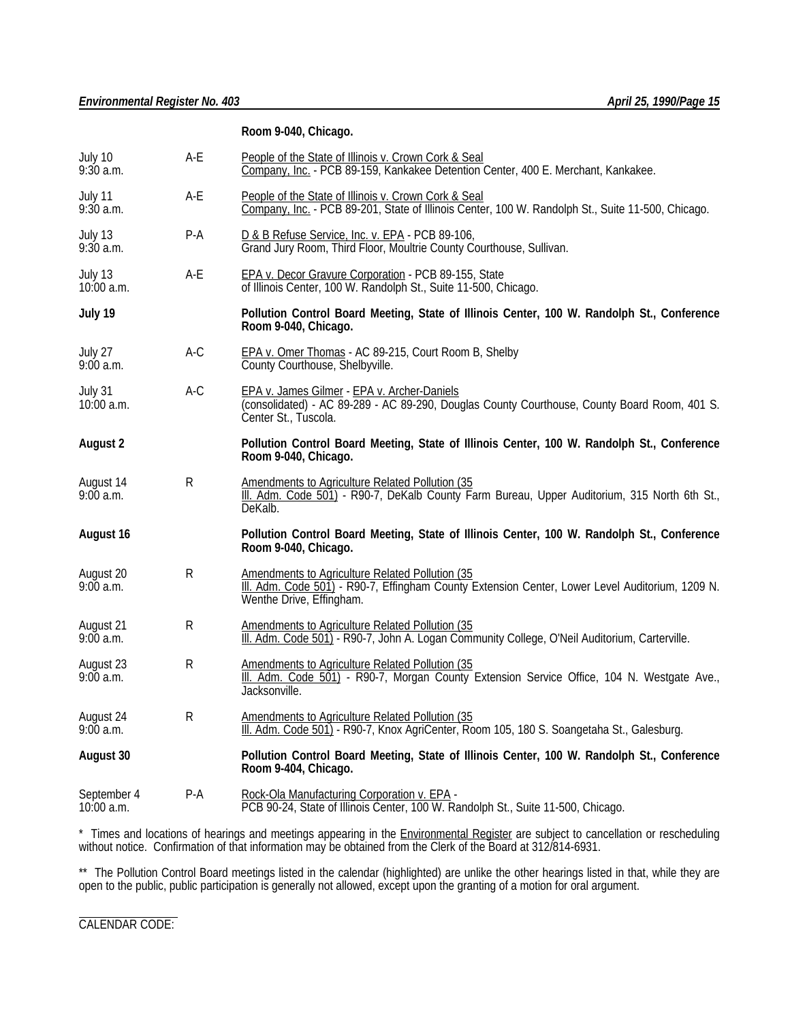### **Room 9-040, Chicago.**

| July 10<br>$9:30$ a.m.      | A-E          | People of the State of Illinois v. Crown Cork & Seal<br>Company, Inc. - PCB 89-159, Kankakee Detention Center, 400 E. Merchant, Kankakee.                                      |  |
|-----------------------------|--------------|--------------------------------------------------------------------------------------------------------------------------------------------------------------------------------|--|
| July 11<br>9:30 a.m.        | $A-E$        | People of the State of Illinois v. Crown Cork & Seal<br>Company, Inc. - PCB 89-201, State of Illinois Center, 100 W. Randolph St., Suite 11-500, Chicago.                      |  |
| July 13<br>$9:30$ a.m.      | $P-A$        | D & B Refuse Service, Inc. v. EPA - PCB 89-106,<br>Grand Jury Room, Third Floor, Moultrie County Courthouse, Sullivan.                                                         |  |
| July 13<br>$10:00$ a.m.     | A-E          | EPA v. Decor Gravure Corporation - PCB 89-155, State<br>of Illinois Center, 100 W. Randolph St., Suite 11-500, Chicago.                                                        |  |
| July 19                     |              | Pollution Control Board Meeting, State of Illinois Center, 100 W. Randolph St., Conference<br>Room 9-040, Chicago.                                                             |  |
| July 27<br>9:00a.m.         | $A-C$        | EPA v. Omer Thomas - AC 89-215, Court Room B, Shelby<br>County Courthouse, Shelbyville.                                                                                        |  |
| July 31<br>$10:00$ a.m.     | $A-C$        | EPA v. James Gilmer - EPA v. Archer-Daniels<br>(consolidated) - AC 89-289 - AC 89-290, Douglas County Courthouse, County Board Room, 401 S.<br>Center St., Tuscola.            |  |
| <b>August 2</b>             |              | Pollution Control Board Meeting, State of Illinois Center, 100 W. Randolph St., Conference<br>Room 9-040, Chicago.                                                             |  |
| August 14<br>$9:00$ a.m.    | R            | Amendments to Agriculture Related Pollution (35<br>III. Adm. Code 501) - R90-7, DeKalb County Farm Bureau, Upper Auditorium, 315 North 6th St.,<br>DeKalb.                     |  |
| August 16                   |              | Pollution Control Board Meeting, State of Illinois Center, 100 W. Randolph St., Conference<br>Room 9-040, Chicago.                                                             |  |
| August 20<br>$9:00$ a.m.    | R            | Amendments to Agriculture Related Pollution (35<br>III. Adm. Code 501) - R90-7, Effingham County Extension Center, Lower Level Auditorium, 1209 N.<br>Wenthe Drive, Effingham. |  |
| August 21<br>9:00a.m.       | R            | Amendments to Agriculture Related Pollution (35<br>III. Adm. Code 501) - R90-7, John A. Logan Community College, O'Neil Auditorium, Carterville.                               |  |
| August 23<br>9:00a.m.       | R            | Amendments to Agriculture Related Pollution (35<br>III. Adm. Code 501) - R90-7, Morgan County Extension Service Office, 104 N. Westgate Ave.,<br>Jacksonville.                 |  |
| August 24<br>9:00a.m.       | $\mathsf{R}$ | Amendments to Agriculture Related Pollution (35<br>III. Adm. Code 501) - R90-7, Knox AgriCenter, Room 105, 180 S. Soangetaha St., Galesburg.                                   |  |
| August 30                   |              | Pollution Control Board Meeting, State of Illinois Center, 100 W. Randolph St., Conference<br>Room 9-404, Chicago.                                                             |  |
| September 4<br>$10:00$ a.m. | P-A          | Rock-Ola Manufacturing Corporation v. EPA -<br>PCB 90-24, State of Illinois Center, 100 W. Randolph St., Suite 11-500, Chicago.                                                |  |

\* Times and locations of hearings and meetings appearing in the **Environmental Register** are subject to cancellation or rescheduling without notice. Confirmation of that information may be obtained from the Clerk of the Board at 312/814-6931.

\*\* The Pollution Control Board meetings listed in the calendar (highlighted) are unlike the other hearings listed in that, while they are open to the public, public participation is generally not allowed, except upon the granting of a motion for oral argument.

l CALENDAR CODE: